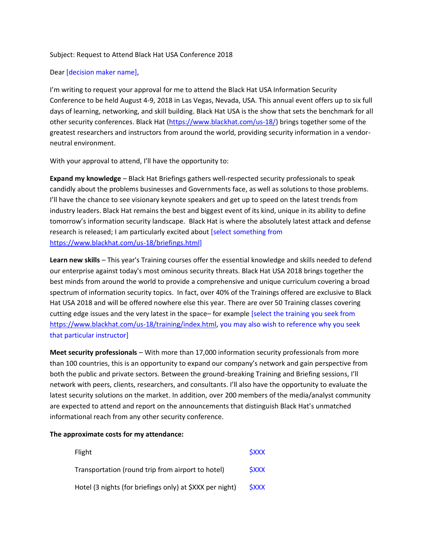## Subject: Request to Attend Black Hat USA Conference 2018

## Dear [decision maker name],

I'm writing to request your approval for me to attend the Black Hat USA Information Security Conference to be held August 4-9, 2018 in Las Vegas, Nevada, USA. This annual event offers up to six full days of learning, networking, and skill building. Black Hat USA is the show that sets the benchmark for all other security conferences. Black Hat [\(https://www.blackhat.com/us-18/\)](https://www.blackhat.com/us-16/) brings together some of the greatest researchers and instructors from around the world, providing security information in a vendorneutral environment.

With your approval to attend, I'll have the opportunity to:

**Expand my knowledge** – Black Hat Briefings gathers well-respected security professionals to speak candidly about the problems businesses and Governments face, as well as solutions to those problems. I'll have the chance to see visionary keynote speakers and get up to speed on the latest trends from industry leaders. Black Hat remains the best and biggest event of its kind, unique in its ability to define tomorrow's information security landscape. Black Hat is where the absolutely latest attack and defense research is released; I am particularly excited about [select something from [https://www.blackhat.com/us-18/briefings.html\]](https://www.blackhat.com/us-18/briefings.html)

**Learn new skills** – This year's Training courses offer the essential knowledge and skills needed to defend our enterprise against today's most ominous security threats. Black Hat USA 2018 brings together the best minds from around the world to provide a comprehensive and unique curriculum covering a broad spectrum of information security topics. In fact, over 40% of the Trainings offered are exclusive to Black Hat USA 2018 and will be offered nowhere else this year. There are over 50 Training classes covering cutting edge issues and the very latest in the space– for example [select the training you seek from [https://www.blackhat.com/us-18/training/index.html,](https://www.blackhat.com/us-16/training/index.html) you may also wish to reference why you seek that particular instructor]

**Meet security professionals** – With more than 17,000 information security professionals from more than 100 countries, this is an opportunity to expand our company's network and gain perspective from both the public and private sectors. Between the ground-breaking Training and Briefing sessions, I'll network with peers, clients, researchers, and consultants. I'll also have the opportunity to evaluate the latest security solutions on the market. In addition, over 200 members of the media/analyst community are expected to attend and report on the announcements that distinguish Black Hat's unmatched informational reach from any other security conference.

## **The approximate costs for my attendance:**

| Flight                                                   | <b>SXXX</b> |
|----------------------------------------------------------|-------------|
| Transportation (round trip from airport to hotel)        | <b>SXXX</b> |
| Hotel (3 nights (for briefings only) at \$XXX per night) | <b>SXXX</b> |